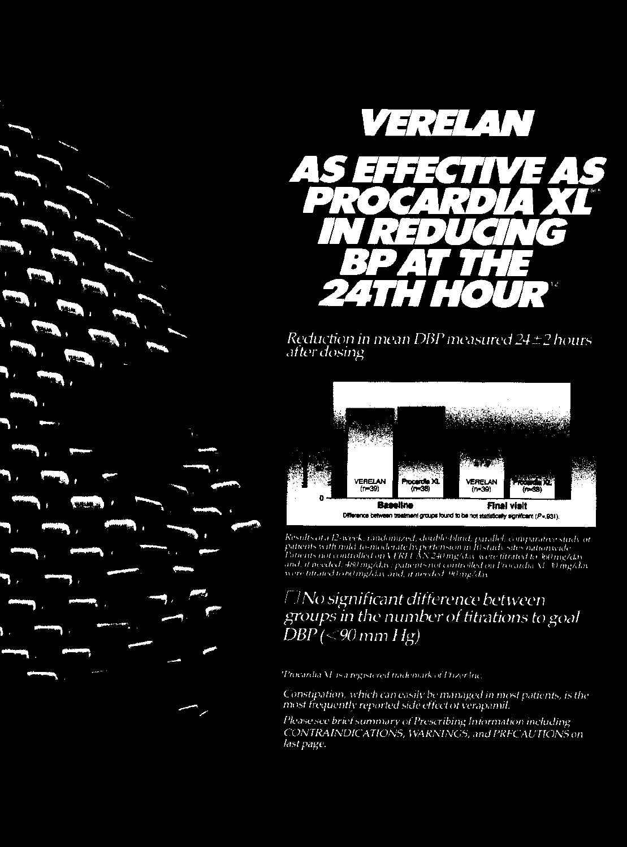

Reduction in mean DBP measured 24 ± 2 hours after dosing



Results at a 12-week, randomized, double-blind, parallel, comparative study or<br>patients with nuld to-moderate hyperfension in I0 study sites nationwide<br>Potients not controlled on VEREENN 240 ing/day were titrated to 360 mg

## *No significant difference between* groups in the number of fitrations to goal  $\overline{DBP}$  (<90 mm Hg)

Trocardia M. is a registered trademark of Pozer Inc.

Constipation, which can easily be managed in most patients, is the most frequently reported side effect of verapamil.

Please see brief summary of Prescribing Information including CONTRAINDICATIONS, WARNINGS, and PRECAUTIONS on last page.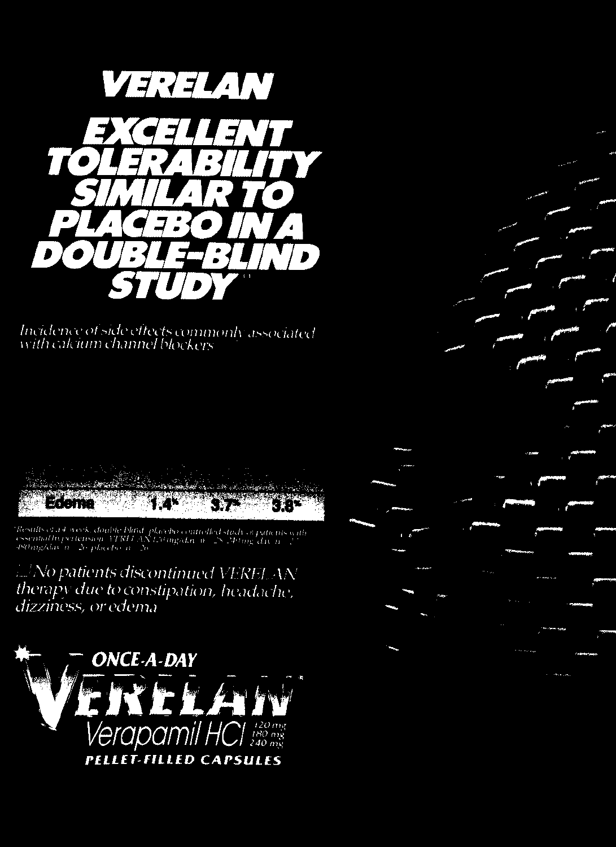

Incidence of side effects commonly associated<br>with calcium channel blockers

Rose Ro Edema

 ${\it Results of a 4 weeks, double blind. place bo counted study, a paths on the essential hyperbension, VTRI-AX Lyluny\\a, n-28.240 mg, da, n-28.20 mg, da, n-28.20 mg, da, n-28.20 mg, da, n-28.20 mg, da, n-28.20 mg, da, n-28.20 mg, da, n-28.20 mg, da, n-28.20 mg, da, n-28.20 mg, da, n-29.20 mg, da, n-20.20 mg, da, n-20.20 mg, da, n-21.20 mg, da, n-22.20 mg, da, n-23.20 mg, da, n-24$ 

Mo patients discontinued VERELAN therapy due to constipation, headache, dizziness, or edema

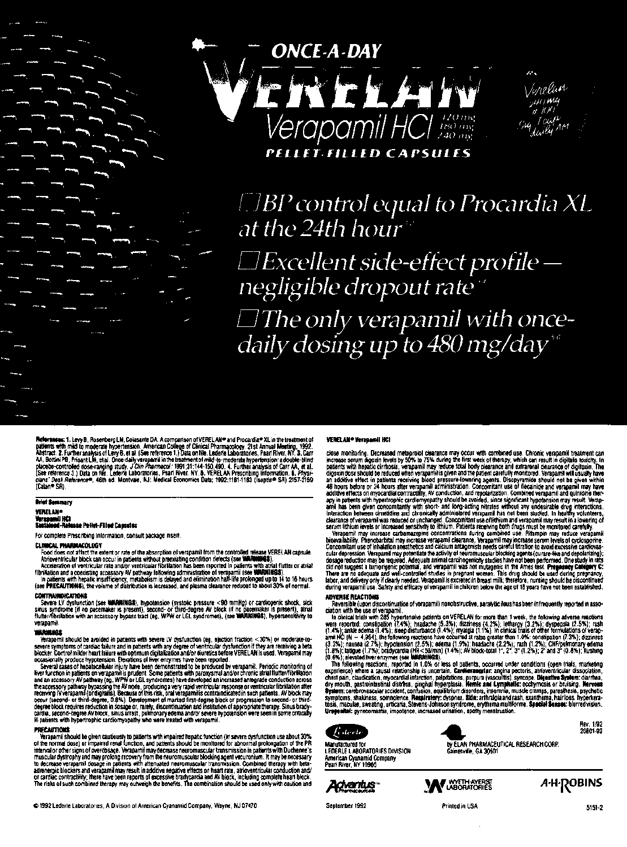



 $\Box$ BP control equal to Procardia XL at the 24th hour

 $\Box$ Excellent side-effect profile negligible dropout rate<sup>®</sup>  $\Box$  The only verapamil with oncedaily dosing up to 480 mg/day<sup>\*\*</sup>

**References: 1. Levy B.** Rosenberg L.W. Coissants DA. A companison of VERELAN® and Procardia® XL in the treatment of<br>Abstract. 2. Further analysis of Levy B. et al. (See reference 1.) Data on the Ledan's Laboratories, Past cians" Desk Ref

#### **Brief Semmary** VERRAll-

#### \*\*\*\*\*\*\*\*\*\*\*\*<br>#thingd -Rela ..<br>Nasae P<del>allat-</del>Filipe Capaulos

For complete Prescribing Information. consutt packaQe insert.

CLEMECAL PRANUMACDULORS<br>The condition and the controlled release VEREL AN capsule.<br>Frood does not affect the extent or rate of the absorption of verapamil from the controlled release VEREL AN<br>Arriversitivity Nock can occur

COIIlRAIIllllCATIONS

www.inumewe.automa.com<br>- Severe LV dystunction (see WARNINGS), hypotension (systokic pressure <90 mmHg) or cardiogenic shock, sick<br>llulliar/fiberaldion with an accessory bypass tract (eg. WPW or LGL syndromes), (see WARNIN

CONTRAH<br>
Severe<br>
sinus syn<br>
Hutter/Gibs<br>
verapami<br>
Yerapan<br>
severe syn<br>
blocker, C<br>
occasiona<br>
Cocasiona -Werapamii should be avoided in patients with severe LV dysfunction (eg. siection fraction < 50%) or moderate-to<br>severe symptoms of carolas tailure and in patients with any degme of wentroular dystunction if they are tecai

ocassionally produce hypotension. Elevations of liver encyrres have been reported. We reaparally produce monitoring of<br>Several cases of healthcealing in plure been derivated to be produced by veraparal. Periodic monitoring cardia. second-degree AV block, sinus arrest, pulmonary edema and/or severe hypotension were seen in some critically<br>HI patients with hypertrophic cardiomyopathy who were treated with verapamil.

recover the state of manifolds of the state of the state of the state of the state of the state of the positio<br>The porton of the state of the position and patients should be monitored for abnormal prolongation of the PR<br>In adrenergic blockers and verapamil may result in additive negative effects on heart rate, atrioventricular conduction and/<br>or cardiac contractivity, there have been reports of excessive bradycardia and AV block, including c

#### VERELAN® Verapomii HCI

ciose monitoring. Benessed methodical participative and technique and the combined use. Chronic verspamil treatments and center with comparison serves of digitals bookly. In process server digitals bookly, for the patients

There are no adequate and well-controlled studies in pregnant women. This drug should be used during pregnancy,<br>labor, and delivery only it clearly needed. Verapamil is excreted in breast milit, therefore, nursing should b

## ADVERSE REACTIONS

Reversible (upon discontinuation of verapamil) nonobstructive, paralytic ileus has been infrequently reported in association with the use of verapamil.<br>In children with the use of verapamil. In children in the table with 2 1 (3.3%); nausea (2.7%); hypotansion (2.5%); edema (1.9%); headache (2.2%); nash (1.2%); CHF/pulmonary edema<br>1.8%); tatigue (1.7%); bradycardia (HR-SB/min) (1.4%); AV block-total 1°, 2°, 3° (1.2%); 2° and 3° (0.8%); llushing

The following reactions, reported in 1.0% or less of patients, occurred under conditions (open trials, material)<br>exceptence) where a causal relationship is uncertain. Careformate and particles are<br>constraint, claudication,



by ELAN PHARMACEUTICAL RESEARCH CORP.<br>Gainesville, GA 30501



LEDERLE LABORATORIES DIVISION American Cyanamid Company



A-H-RoBINS

Printed in USA

20801-92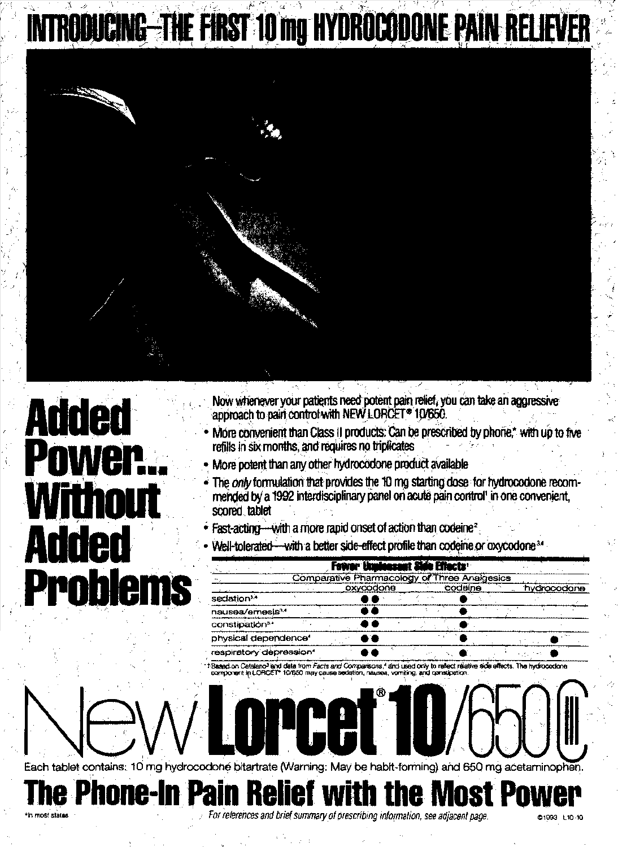# INTRODUCING-THE FIRST 10 mg HYDROCODONE PAIN RELIEVER



# **Added** Power... Without Added **Problems**

- Now whenever your patients need potent pain relief, you can take an aggressive approach to pain control with NEW LORCET® 10/650.
- More convenient than Class II products: Can be prescribed by phone,\* with up to five refills in six months, and requires no triplicates
- More potent than any other hydrocodone product available
- The only formulation that provides the 10 mg starting dose for hydrocodone recommended by a 1992 interdisciplinary panel on acute pain control' in one convenient. scored tablet
- Fast-acting-with a more rapid onset of action than codeine<sup>2</sup>
- Well-tolerated-with a better side-effect profile than codeine or oxycodone<sup>34</sup>

|                                  |  |           | Fewer Unidessent Side Effects                |         |  |             |
|----------------------------------|--|-----------|----------------------------------------------|---------|--|-------------|
|                                  |  |           | Comparative Pharmacology of Three Analgesics |         |  |             |
|                                  |  | oxycodone |                                              | codeine |  | hydrocodone |
| sedation <sup>3,4</sup>          |  |           |                                              |         |  |             |
| nausea/emesis <sup>34</sup>      |  |           |                                              |         |  |             |
| constipation <sup>3.4</sup>      |  |           |                                              |         |  |             |
| physical dependence <sup>4</sup> |  |           |                                              |         |  |             |
| respiratory depression*          |  |           |                                              |         |  |             |

fects. The hydrocodone nd data from *Facts and Comparisons.* I and used only to reflect relative side

Each tablet contains: 10 mg hydrocodoné bitartrate (Warning: May be habit-forming) and 650 mg acetaminophen

**The Phone-In Pain Relief with the Most Power** 

For references and brief summary of prescribing information, see adjacent page.

**ICGI** 

**@1993 L10-10**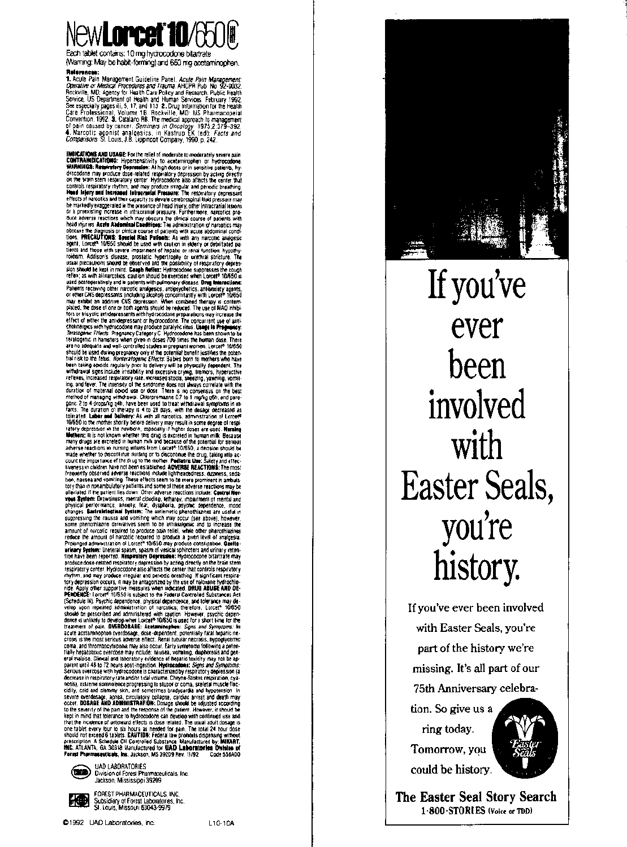

Each tablet contains: 10 mg hydrocodone bitartrate (Waming: May be habit-forming) and 650 mg acetaminophen. Reference

**Relayements:**<br>
T. Acute Pain Management Guideline Panel. Acute Pain Management:<br>
1. Dependine on Medical Procedures and Trauma. AHCPR Pub. No. 92-0032.<br>
Rockville, MD: Agency for Health Care Policy and Research. Public He

4. Narcotite agostist and leastes, in Kastrung Ketols. The street age of the street and the street and the street and the street and the street and the street and the street and the street and the street and the street and alleviated if the patient lies down. Other adverse reactions include: Central Wer-<br>reset and patient Drowsiness, memals clouding, whitegy, impartment of mental and<br>physical performance, answer, fear, dysplacial, peryonic d produce doss-ratisted respiratory eleptrosion by acting directly on the brain stem<br>respiratory center. Hydronotone also affects the center that controls respiratory<br>respiratory center. Hydronotone also affects the center t to the severing of the pain and the response of the planettic convention is the control in the response of the control of the response of the response of the response of the response of the control of the response of the s



UAD LABORATORIES Division of Forest Pharmaceuticals, Inc.<br>Jackson, Mississippi 39209



FOREST PHARMACEUTICALS, INC. Subsidiary of Forest Laboratories<br>St. Louis, Missouri 63043-9979





If you've ever been involved with Easter Seals, you're history.

If you've ever been involved with Easter Seals, you're part of the history we're missing. It's all part of our 75th Anniversary celebra-

tion. So give us a ring today. Tomorrow, you could be history.



The Easter Seal Story Search 1-800-STORIES (Voice or TDD)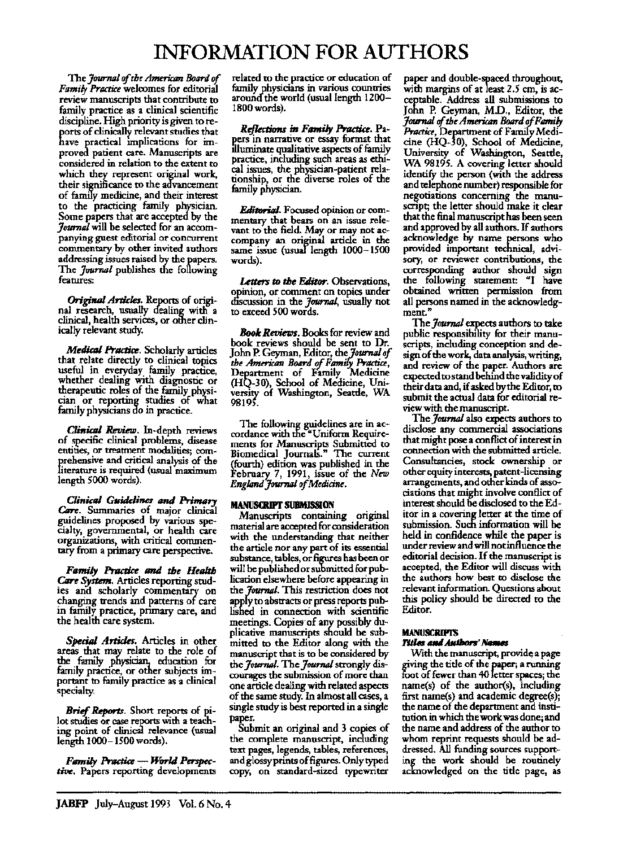## INFORMATION **FOR AUTHORS**

The *Journal of the American Board of Family Practice* welcomes for editorial review manuscripts that contribute to family practice as a clinical scientific discipline. High priority is given to reports of clinically relevant studies that have practical implications for improved patient care. Manuscripts are considered in relation to the extent to which they represent original work, their significance to the advancement of family medicine, and their interest to the practicing family physician. Some papers that are accepted by the *Journal* will be selected for an accompanying guest editorial or concurrent commentary by other invited authors addressing issues raised by the papers. The *Journal* publishes the following features:

Origirull *Articles.* Reports of original research, usually dealing widi a clinical, health services, or other clinically relevant study.

*Medical Practice*. Scholarly articles that relate directly to clinical topics useful in everyday family practice,<br>whether dealing with diagnostic or whether dealing with diagnostic or<br>therapeutic roles of the family physician or reporting studies of what family phystcians do in practice.

*Clinical Review.* In-depth reviews of specific clinical problems, disease<br>entities, or treatment modalities; comprehensive and critical analysis of the literature is required (usual maximum length 5000 words).

*Clinical Guidelines and Primary Care.* Summaries of major clinical guidelines proposed by various specialty, governmental, or health care organizations, with critical commen- tary from a primary care perspective.

**Family Practice and the Health** Care System. Articles reporting studies and scholarly commentary on changing trends and patterns of care<br>in family practice, primary care, and the health care system.

Special Articles. Articles in other areas that may relate to the role of the family physician, education for family practice, or other subjects important to family practice as a clinical specialty.

Brief Reports. Short reports of pilot studies or case reports with a teaching point of clinical relevance (usual length 1000-1500 words).

*Fflmily* Praake - World *Perspectiw.* Papers reporting developments related to the practice or education of family physicians in various countries around the world (usual length 1200-1800 words).

*Reflections in Family Practice.* Paeers in narrative or essay format that illuminate qualitative aspects of family practice, including such areas as ethical issues, the physician-patient relationship, or the diverse roles of the family physician.

**Editorial.** Focused opinion or com-<br>mentary that bears on an issue relevant to the field. May or may not ac-<br>company an original article in the same issue (usual length  $1000-1500$ words).

*Letters to the* Editor. Observations, opinion, or comment on topics under discussion in the *Journal*, usually not to exceed 500 words.

*Book Reviews.* Books for review and book reviews should be sent to Dr. John P. Geyman, Editor, the *10'Ur111d of the American Board ofFami/i Practice,*  Department of Family Medicine (HQ-30), School of Medicine, University of Washington, Seattle, WA 98195.

The following guidelines are in ac-<br>cordance with the "Uniform Requirements for Manuscripts Submitted to Biomedical JournalS." The current (fourth) edition was published in the February 7, 1991, issue of the *New EngltmdJoumal of Medicine.* 

#### **MANUSCRIPT SUBMISSION**

Manuscripts containing original material are accepted for consideration with the understanding that neither the article nor any part of its essential substance, tables, or figures has been or will be published or submitted for publication elsewhere before appearing in the *Joumal.* This restriction does not appfy to abstracts or press reports published in connection with scientific meetings. Copies· of any possibly duplicative manuscripts should be submitted to the Editor along with the manuscript that is to be considered by the *Journal*. The *Journal* strongly discourages the submission of more than one article dealing with related aspects of the same study. In almost all cases, a single study is best reported in a single paper.

Submit an original and 3 copies of the complete manuscript, including text pages, legends, tables, references, and glossy prints of figures. Only typed copy, on standard-sized typewnter

paper and double-spaced throughout, with margins of at least 2.5 em, is acceptable. Address all submissions to John P. Geyman, M.D., Editor, the *Joumal* of *the American Board of Family*  Practice, Department of Family Medicine (HQ-30), School of Medicine, University of Washington, Seattle, WA 98195. A covering letter should identify the person (with the address and telephone number) responsible for negotiations concerning the manu-<br>script; the letter should make it clear that the final manuscript has been seen and approved by all authors. H authors acknowledge by name persons who provided important technical, advisory, or reviewer contributions, the corresponding author should sign the following statement: "I have obtained written permission from all persons named in the acknowledgment."

The *Journal* expects authors to take public responsibility for their manuscripts, including conception and design of the work, data analysis, writing, and review of the paper. Authors are expected to stand behind the validity of their data and, if asked by the Editor, to submit the actual data for editorial review with the manuscript.

The *Joumal* also expects authors to disclose any commercial associations that might pose a conflict of interest in connection with the submitted article. Consultancies, stock ownership or other equity interests, patent-licensing arrangements, and other kinds of associations that might involve conflict of interest should be disclosed to the Editor in a covering letter at the time of submission. Such information will be held in confidence while the paper is under review and will not influence the editorial decision. H the manuscript is accepted, the Editor will discuss with the authors how best to disclose the relevant information. Questions about this policy should be directed to the Editor.

### **MANUSCRIPTS**

### *TIIIG* **IIfIIIbIbors'** *NIItIIBS*

With the manuscript, provide; a page giving the title of the paper; a running foot of fewer than 40 letter spaces; the name(s) of the author(s), including first name(s) and academic degree(s); the name of the department and institution in which the work was done; and the name and address of the author to whom reprint requests should be addressed. All funding sources supporting the work should be routinely acknowledged on the title page, as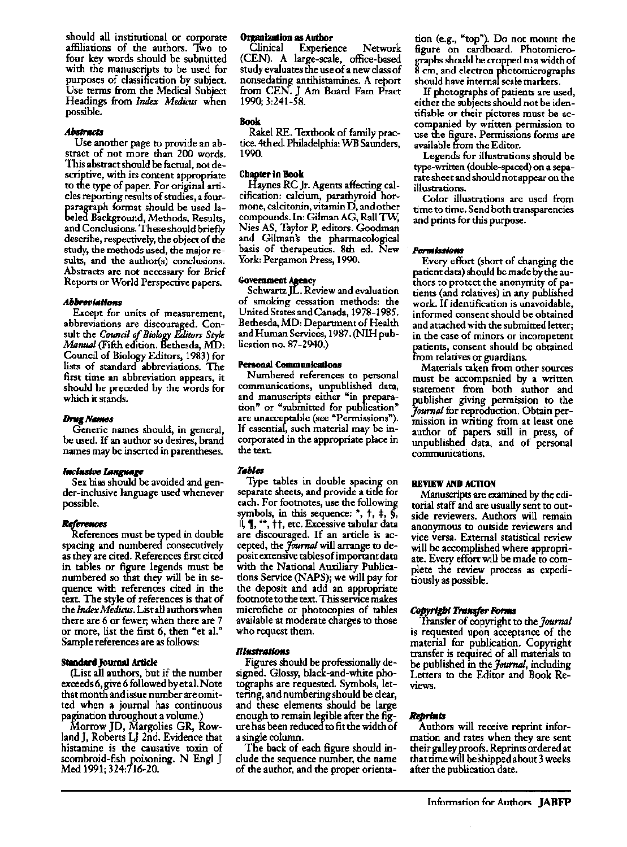should all institutional or corporate affiliations of the authors. Two to four key words should be submitted with the manuscripts to be used for purposes of classification by subject. Use tenns from the Medical Subject Headings from *Index Medicur* when possible.

#### .Abstracts

Use another page to provide an abstract of not more than 200 words. This abstract should be factual, not descriptive, with its content appropriate to the type of paper. For original articles reporting results of studies, a fourparagraph fonnat should be used labeled Background, Methods, Results, and Conclusions. These should briefly describe, respectively, the object of the study, the methods used, the major results, and the author(s) conclusions. Abstracts are not necessary for Brief Reports or World Perspective papers.

#### **Abbreviations**

Except for units of measurement, abbreviations are discouraged. Consult the *Council of Biowgy Editors Style Manual* (Fifth edition. Bethesda, MD: Council of Biology Editors, 1983) for lists of standard abbreviations. The first time an abbreviation appears, it should be preceded by the words for which it stands.

#### **Drug Names**

Generic names should, in general, be used. If an author so desires, brand names may be inserted in parentheses.

#### *hlehl6hJe IMIgtlllge*

Sex bias should be avoided and gender-inclusive language used whenever possible.

#### **References**

References must be typed in double spacing and numbered consecutively as they are cited. References first cited in tables or figure legends must be numbered so that they will be in sequence with references cited in the text. The style of references is that of the *Index Medicus.* List all authors when there are 6 or fewer; when there are 7 or more, list the first 6, then "et al." Sample references are as follows:

#### **Standard Journal Article**

(List all authors, but if the number exceeds 6, give 6 followed by et al. Note that month and issue number are omitted when a journal has continuous pagination throughout a volume.)

Morrow JD, Margolies GR, RowlandJ, Roberts LJ 2nd. Evidence that histamine is the causative toxin of scombroid-fish poisoning. N Engl J Med 1991; 324:716-20.

## **Organization as Author**

Experience Network (CEN). A large-scale, office-based study evaluates the use of a new class of nonsedating antihistamines. A report from CEN. J Am Board Fam Pract 1990; 3:241-58.

#### Book

Rakel RE. Textbook of family practice. 4th ed. Philadelphia: WB Saunders, 1990.

#### **Chapter In Book**

Haynes RC Jr. Agents affecting calcification: calcium, parathyroid hormone, calcitonin, vitamin  $D$ , and other compounds. In: Gilman AG, Rall Tw, Nies AS, Taylor P, editors. Goodman and Gilman's the pharmacological basis of therapeutics. 8th ed. New York: Pergamon Press, 1990.

### **Govenunent Agency**

Schwartz JL. Review and evaluation of smoking cessation methods: the United States and Canada, 1978-1985. Bethesda, MD: Department of Health and Human Services, 1987. (Nlli publication no. 87-2940.)

#### **Personal Communications**

Numbered references to personal communications, unpublished data, and manuscripts either "in preparation" or "submitted for publication" are unacceptable (see "Permissions"). If essentia, such material may be incorporated in the appropriate place in the text.

**Tables**<br>Type tables in double spacing on separate sheets, and provide a title for each. For footnotes, use the following symbols, in this sequence:  $*$ ,  $\dagger$ ,  $\dagger$ ,  $\ddagger$ ,  $\ddagger$ ,  $\dagger$ , etc. Excessive tabular data are discouraged. If an article is accepted, the *Journal* will arrange to deposit extensive tables of important data with the National Auxiliary Publications Service (NAPS); we will pay for the deposit and add an appropriate footnote to the text. This service makes microfiche or photocopies of tables available at moderate charges to those who request them.

#### **nlflSlrllllmu**

Figures should be professionally designed. Glossy, black-and-white photographs are requested. Symbols, lettering, and numbering should be clear, and these elements should be large enough to remain legible after the figure has been reduced to fit the width of a single column.

The back of each figure should include the sequence number, the name of the author, and the proper orienta-

tion (e.g., "top"). Do not mount the figure on cardboard. Photomicrographs should be cropped to a width of 8 cm, and electron photomicrographs should have internal scale markers.

If photographs of patients are used, either the subjects should not be identifiable or their pictures must be accompanied by written permission to use the figure. Permissions fonns are available from the Editor.

Legends for illustrations should be type-written (double-spaced) on a separate sheet and should not appear on the illustrations.

Color illustrations are used from time to time. Send both transparencies and prints for this purpose.

#### **Permlssknu**

Every effort (short of changing the patient data) should be made by the au- thors to protect the anonymity of patients (and relatives) in any published work. If identification is unavoidable, informed consent should be obtained and attached with the submitted letter; in the case of minors or incompetent patients, consent should be obtained from relatives or guardians.

Materials taken from other sources must be accompanied by a written statement from both author and publisher giving permission to the *Journal* for reproduction. Obtain permission in writing from at least one author of papers still in press, of unpublished data, and of personal communications.

#### **REVIEW AND ACTION**

Manuscripts are examined by the editorial staff and are usually sent to outside reviewers. Authors will remain anonymous to outside reviewers and vice versa. External statistical review will be accomplished where appropriate. Every effort will be made to complete the review process as expeditiouslyas possible.

#### Copyright Transfer Forms

Transfer of copyright to the *Journal*  is requested upon acceptance of the material for publication. Copyright transfer is required of all materials to be published in the *Journal*, including Letters to the Editor and Book Reviews.

#### *Reprill"*

Authors will receive reprint information and rates when they are sent their galley proofs. Reprints ordered at that time will be Shipped about 3 weeks after the publication date.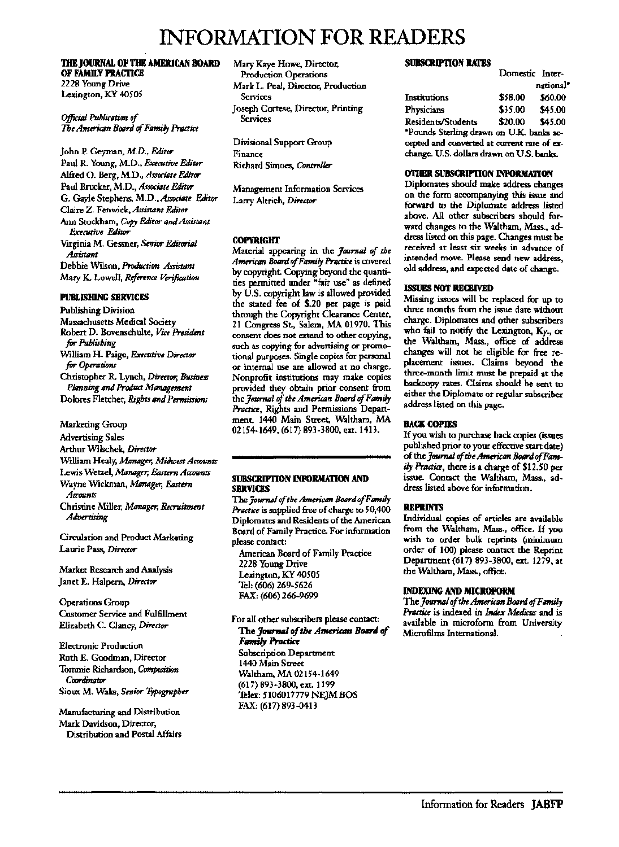## INFORMATION FOR READERS

#### THE IOURNAL OF THE AMERICAN BOARD OF FAMILY PRACTICE 2228 Young Drive

Lexington, KY 40505

Official Publication of The American Board of Family Practice

John P. Geyman, *M.D., Editor*  Paul R. Young, M.D., *Executive Editor*  Alfred O. Berg, M.D., *Associate Editor*  Paul Brucker, M.D., *Associate Editor*  G. Gayle Stephens, M.D., *Associate Editor*  Claire Z. Fenwick, *Assistant Editor*  Ann Stockham, *Copy Editor and Assistant Executive* Editor Virginia M. Gessner, *Senior Editorial Assistant*  Debbie Wilson, Production Assistant Mary K LowelI, *Reference Verification* 

#### PUBLISHING SERVICES

Publishing Division Massachusetts Medical Society Robert D. Bovenschulte, VICe *President*  for *Publishing*  William H. Paige, *Executive Director*  for *Operations* Christopher R. Lynch, *Director, Business*  Planning and Product Management Dolores Fletcher, *Rights and Permissions* 

Marketing Group

Advertising Sales

Arthur Wllschek, *Director* 

William Healy, *Mauger, Midwest Accounts* 

Lewis Wetzel, *Mimtzger,* Eastern *Accounts*  Wayne Wickman, *Mimtzger, &stern* 

*Accounts* 

Christine Miller, *Mflnflger, Recruitmmt Advertising* 

Circulation and Product Marketing Laurie Pass, *Director* 

Market Research and Analysis Janet E. Halpern, *Director* 

Operations Group Customer Service and Fulfillment Elizabeth C. Clancy, *Director* 

Electronic Production Ruth E. Goodman, Director Tommie Richardson, *Composition Coordinator*  Sioux M. Waks, *Senior Typographer* 

Manufacturing and Distribution Mark Davidson, Director, Distribution and Postal Affairs Mary Kaye Howe, Director, Production Operations Mark L. Peal, Director, Production Services Joseph Cortese, Director, Printing **Services** 

Divisional Support Group Finance Richard Simoes, *Controller* 

Management Information Services Larry Altrich, *Director* 

#### COPYRIGHT

Material appearing in the *Journal of the Ameriam BoarrI of Family Practice* is covere.d by copyright. Copying beyond the quantities permitted under "fair use" as defined by U.S. copyright law is allowed provided the stated fee of \$.20 per page is paid through the Copyright Clearance Center, 21 Congress St., Salem, MA 01970. This consent does not extend to other copying, such as copying for advertising or promotional purposes. Single copies for personal or internal use are allowed at no charge. Nonprofit institutions may make copies provided they obtain prior consent from the *Journal of the American Board of Family Practict,* Rights and Permissions Department, 1440 Main Street, Waltham, MA 02154-1649, (617) 893-3800, ext. 1413.

#### SUBSCRIPTION INFORMATION AND SERVICES

The *Journal of the American BOfIrri of Family*  Practice is supplied free of charge to 50,400 Diplomates and Residents of the American Board of Family Practice. For information please contact:

American Board of Family Practice 2228 Young Drive Lexington, KY 40505 Tel: (606) 269-5626 FAX: (606) 266-9699

For all other subscribers please contact: The Journal of the American Board of **Family Practice** 

Subscription Department 1440 Main Street Waltham, MA 02154-1649 (617) 893-3800, ext. 1199 Telex: 5106017779 NEJM BOS FAJ(: (617) 893-0413

#### SUBSCRIPTION RATES

|                                              | Domestic Inter- |           |
|----------------------------------------------|-----------------|-----------|
|                                              |                 | national* |
| Institutions                                 | \$58.00         | \$60.00   |
| Physicians                                   | \$35.00         | \$45.00   |
| Residents/Students                           | \$20.00         | \$45.00   |
| "Pounds Sterling drawn on U.K. banks ac-     |                 |           |
| und ha ann taganna ta hatmarrana han hateran |                 |           |

cepted and converted at current rate of exchange. U.S. dollars drawn on U.S. banks.

#### 011IER SUBSCRIPI'ION INFORMA11ON

Diplomates should make address changes on the form accompanying this issue and forward to the Diplomate address listed above. All other subscribers should forward changes to the Waltham, Mass., address listed on this page. Changes must be received at least six weeks in advance of intended move. Please send new address, old address, and expected date of change.

#### ISSUES NOT RECEIVED

Missing issues will be replaced for up to three months from the issue date without charge. Diplomates and other subscribers who fail to notify the Lexington, Ky., or the Waltham, Mass., office of address changes will not be eligible for free replacement issues. Claims beyond the three-month limit must be prepaid at the backcopy rates. Claims should be sent to either the Diplomate or regular subscriber address listed on this page.

#### BACK COPIES

If you wish to purchase back copies (issues published prior to your effective start date) of the *Journal of the American Board of Family Practict,* there is a charge of \$12.50 per issue. Contact the Waltham, Mass., address listed above for information.

### REPRINTS

Individual copies of articles are available from the Waltham, Mass., office. If you wish to order bulk reprints (minimum order of 100) please contact the Reprint Department (617) 893-3800, ext. 1279, at the Waltham, Mass., office.

#### INDEXING AND MICROFORM

The *Journal of the American Board of Family Practice* is indexed in *Index Medicus* and is available in microform from University Microfilms International.